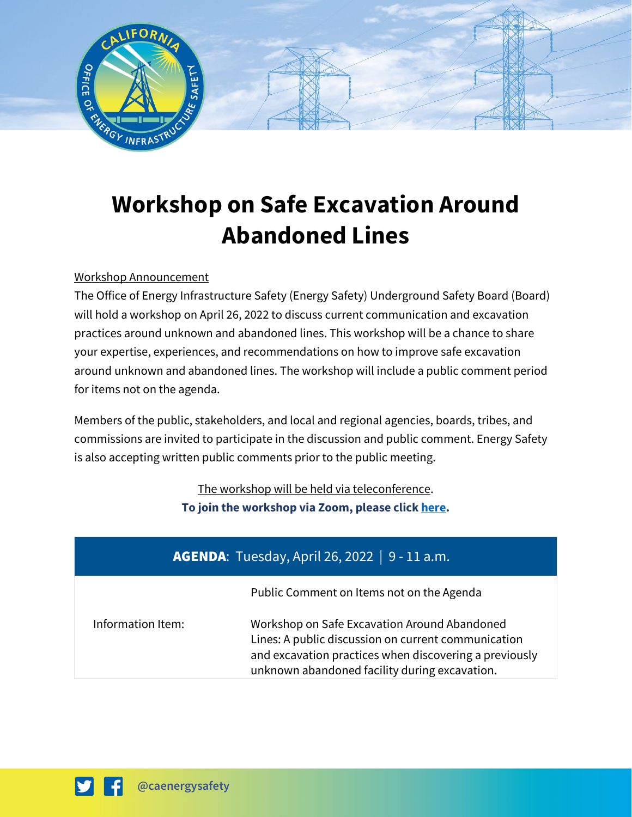

# **Workshop on Safe Excavation Around Abandoned Lines**

## Workshop Announcement

The Office of Energy Infrastructure Safety (Energy Safety) Underground Safety Board (Board) will hold a workshop on April 26, 2022 to discuss current communication and excavation practices around unknown and abandoned lines. This workshop will be a chance to share your expertise, experiences, and recommendations on how to improve safe excavation around unknown and abandoned lines. The workshop will include a public comment period for items not on the agenda.

Members of the public, stakeholders, and local and regional agencies, boards, tribes, and commissions are invited to participate in the discussion and public comment. Energy Safety is also accepting written public comments prior to the public meeting.

> The workshop will be held via teleconference. **To join the workshop via Zoom, please click [here.](https://us06web.zoom.us/j/88313399356)**

| <b>AGENDA:</b> Tuesday, April 26, 2022   9 - 11 a.m. |                                                                                                                                                                                                                |
|------------------------------------------------------|----------------------------------------------------------------------------------------------------------------------------------------------------------------------------------------------------------------|
|                                                      | Public Comment on Items not on the Agenda                                                                                                                                                                      |
| Information Item:                                    | Workshop on Safe Excavation Around Abandoned<br>Lines: A public discussion on current communication<br>and excavation practices when discovering a previously<br>unknown abandoned facility during excavation. |